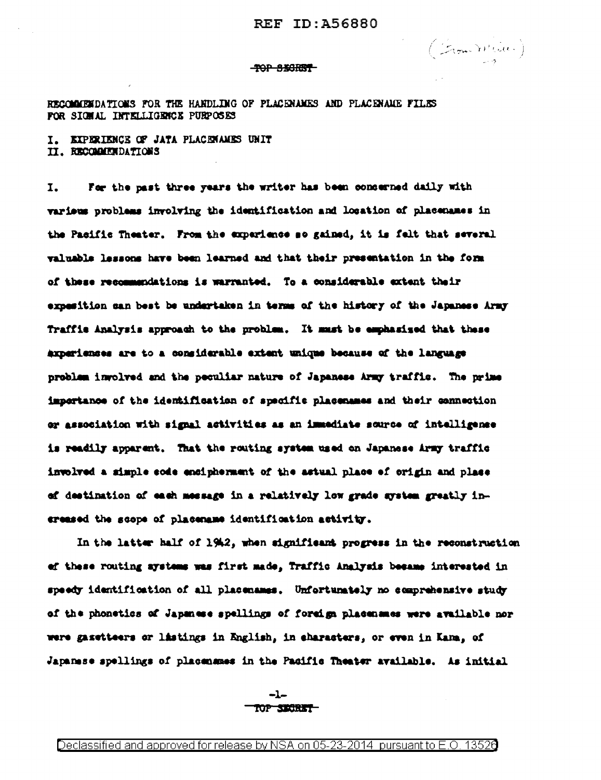(From White)

#### **TOP SECRET**

RECOMMENDATIONS FOR THE HANDLING OF PLACENAMES AND PLACENAME FILES FOR SIGHAL INTELLIGENCE PURPOSES

I. EXPERIENCE OF JATA PLACEMANES UNIT II. RECOMMENDATIONS

For the past three years the writer has been concerned daily with I. varieus problems involving the identification and location of placemanes in the Pacific Theater. From the experience so gained, it is felt that several valuable lessons have been learned and that their presentation in the form of these recommendations is warranted. To a considerable extent their expesition can best be undertaken in terms of the history of the Japanese Army Traffic Analysis approach to the problem. It must be emphasized that these axperiences are to a considerable extent unique because of the language problem involved and the peculiar nature of Japanese Army traffic. The prime impertance of the identification of specific placemasse and their connection or association with signal activities as an immediate source of intelligence is readily apparent. That the routing system used on Japanese Army traffic involved a simple sode encipherment of the astual place of origin and place of destination of each message in a relatively low grade system greatly increased the scope of placemane identification activity.

In the latter half of 1942, when significant progress in the reconstruction of these routing systems was first made, Traffic Analysis became interested in speedy identification of all placenames. Unfortunately no comprehensive study of the phonetics of Japanese spellings of foreign placenames were available nor were gasetteers or listings in English, in characters, or even in Kama, of Japanese spellings of placensmes in the Pacific Theater available. As initial

> $-l-$ TOP SECRET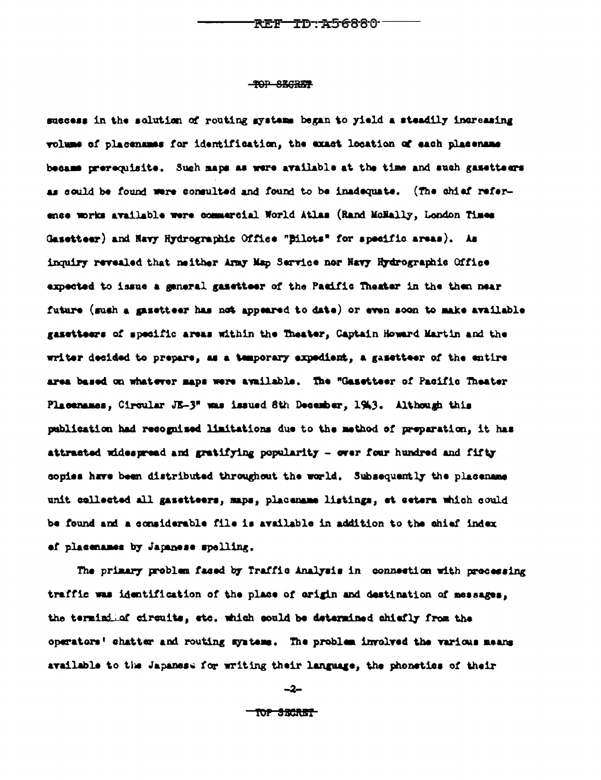### **-TOP SEGRET**

success in the solution of routing systems began to yield a steadily increasing volume of placenames for identification, the exact location of each placename became prerequisite. Such maps as were available at the time and such gasetteers as could be found were consulted and found to be inadequate. (The chief reference works available were commercial World Atlas (Rand MoHally, London Times Gasetteer) and Navy Hydrographic Office "Bilots" for specific areas). As inquiry revealed that neither Army Map Service nor Havy Hydrographic Office expected to issue a general gasetteer of the Pasific Theater in the then near future (sush a gasetteer has not appeared to date) or even soon to make available gazetteers of specific areas within the Theater, Captain Howard Martin and the writer decided to prepare, as a temporary expedient, a gasetteer of the entire area based on whatever maps were available. The "Gasetteer of Pacific Theater Placenames, Circular JE-3" was issued 8th December, 1943. Although this publication had recognized limitations due to the method of preparation, it has attracted widespread and gratifying popularity - over four hundred and fifty copies have been distributed throughout the world. Subsequently the placename unit cellected all gasetteers, maps, placemame listings, et estera which could be found and a considerable file is available in addition to the chief index of placenames by Japanese spelling.

The primary problem fased by Traffic Analysis in connection with processing traffic was identification of the place of origin and destination of messages, the termindical circuits, etc. which sould be determined chiefly from the operators' chatter and routing systems. The problem involved the various means available to the Japanese for writing their language, the phoneties of their

-2-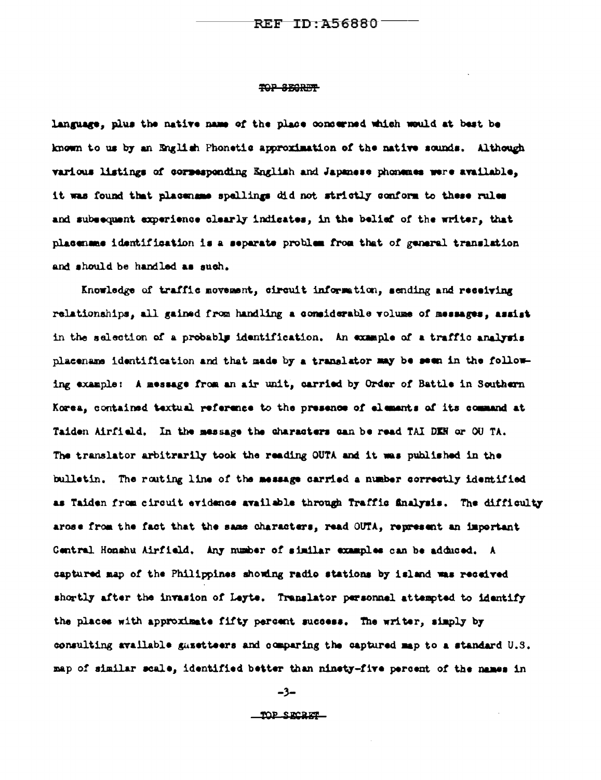## TOP SEGRET

language, plus the native name of the place concerned which would at best be known to us by an English Phonetic approximation of the native sounds. Although various listings of corresponding English and Japanese phonones were available, it was found that placename spellings did not strictly conform to these rules and subsequent experience clearly indicates, in the belief of the writer, that placename identification is a separate problem from that of general translation and should be handled as such.

Knowledge of traffic movement, circuit information, sending and receiving relationships, all gained from handling a considerable volume of messages, assist in the selection of a probably identification. An example of a traffic analysis placename identification and that made by a translator may be seen in the following example: A message from an air unit, carried by Order of Battle in Southern Korea, contained textual reference to the presence of elements of its command at Taiden Airfield. In the message the characters can be read TAI DEN or OU TA. The translator arbitrarily took the reading OUTA and it was published in the bulletin. The routing line of the message carried a number correctly identified as Taiden from circuit evidence available through Traffic finalysis. The difficulty arose from the fact that the same characters, read OUTA, represent an important Central Honshu Airfield, Any number of similar examples can be adduced. A captured map of the Philippines showing radio stations by island was received shortly after the invasion of Leyte. Translator personnel attempted to identify the places with approximate fifty percent success. The writer, simply by consulting available gasetteers and comparing the captured map to a standard U.S. map of similar scale, identified better than ninety-five percent of the names in

-3-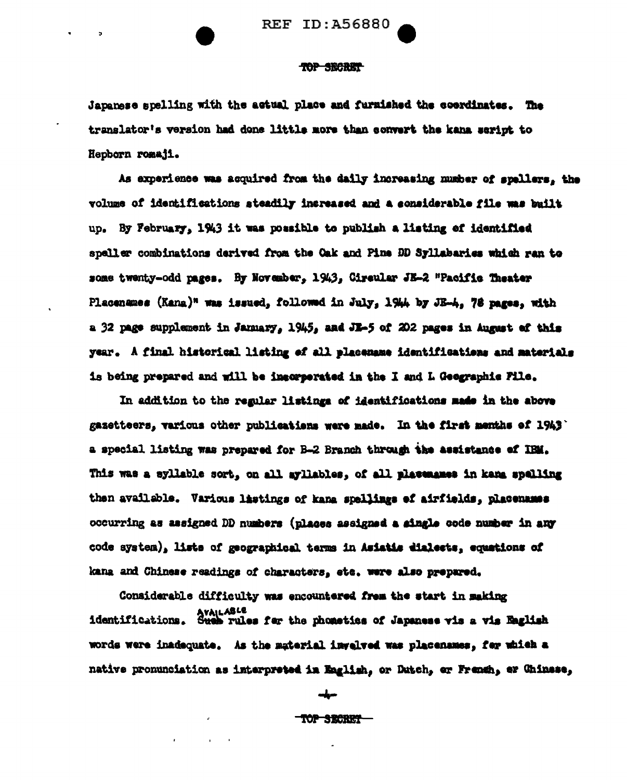

## TOP SECRET

Japanese spelling with the actual place and furnished the coordinates. The translator's version had done little more than convert the kana script to Hepborn romaji.

As experience was acquired from the daily increasing number of spellers, the volume of identifications steadily increased and a considerable file was built up. By February, 1943 it was possible to publish a listing of identified speller combinations derived from the Oak and Pine DD Syllabaries which ran to some twenty-odd pages. By November, 1943, Circular JE-2 "Pacific Theater Placenames (Kang)" was issued, followed in July, 1944 by JE-4. 78 pages, with a 32 page supplement in January, 1945, and JE-5 of 202 pages in August of this year. A final historical listing of all placemane identifications and materials is being prepared and will be incorporated in the I and L Geographic Pile.

In addition to the regular listings of identifications made in the above gazetteers, various other publications were made. In the first menths of 1943' a special listing was prepared for B-2 Branch through the assistance of IBM. This was a syllable sort, on all ayllables, of all plassmanes in kana spelling then available. Various listings of kana spellings of airfields, placemanes occurring as assigned DD numbers (places assigned a single code number in any code system), liste of geographical terms in Asiatis dialects, equations of kana and Chinese readings of characters, etc. were also prepared.

Considerable difficulty was encountered from the start in making Availant Cations. Such rules for the phonetics of Japanese vis a vis English words were inadequate. As the material invelved was placenames, for which a native pronunciation as interpreted in English, or Dutch, or French, er Chinese,

صيلت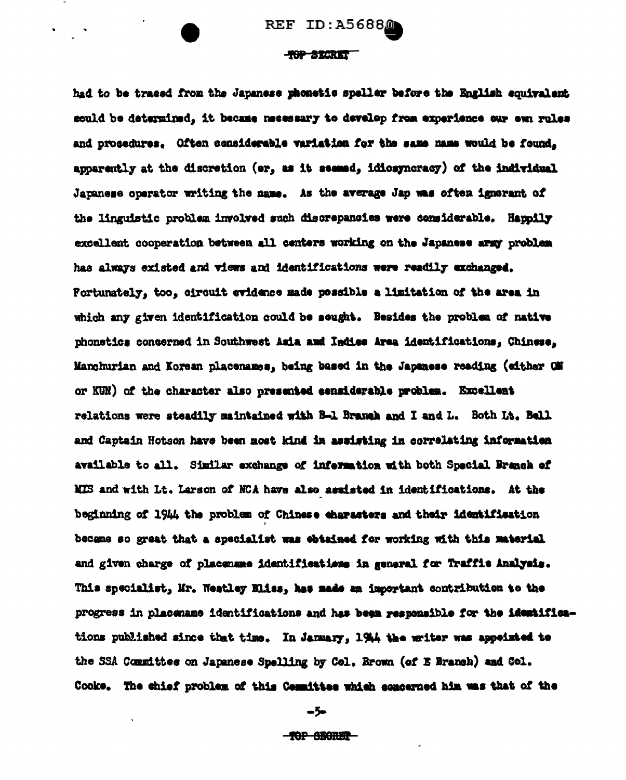### TOP STORET

had to be traced from the Japanese phonetic speller before the English equivalent could be determined, it became necessary to develop from experience our own rules and procedures. Often considerable variation for the same name would be found. apparently at the discretion (er, as it seemed, idiosyncracy) of the individual Japanese operator writing the name. As the average Jap was often ignorant of the linguistic problem involved such discrepancies were considerable. Happily excellent cooperation between all centers working on the Japanese army problem has always existed and views and identifications were readily exchanged. Fortunately, too, circuit evidence made possible a limitation of the area in which any given identification could be sought. Besides the problem of native phonetics concerned in Southwest Asia and Indies Area identifications, Chinese, Manchurian and Korean placenames, being based in the Japanese reading (either GM or KUN) of the character also presented censiderable problem. Excellent relations were steadily maintained with B-1 Branch and I and L. Both Lt. Bell and Captain Hotson have been most kind in assisting in correlating information available to all. Similar exchange of information with both Special Branch of MIS and with Lt. Larson of NCA have also assisted in identifications. At the beginning of 1944 the problem of Chinese characters and their identification became so great that a specialist was obtained for working with this material and given charge of placemene identifications in general for Traffic Analysis. This specialist, Mr. Weatley Eliss, has made an important contribution to the progress in placemame identifications and has been responsible for the identifications published since that time. In January, 1944 the writer was appeinted to the SSA Committee on Japanese Spelling by Col. Brown (of E Branch) and Col. Cooke. The chief problem of this Committee which concerned him was that of the

مزّد

**-ROP SECRET-**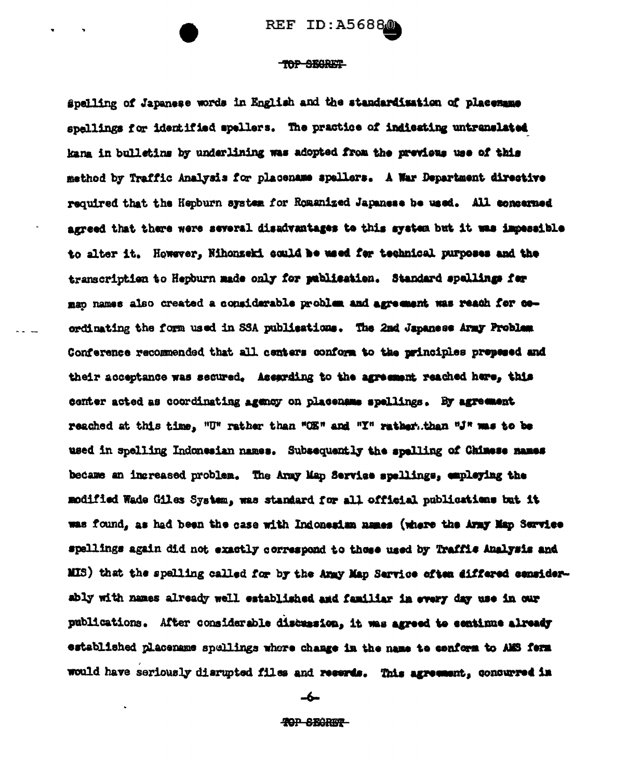# TOP SEGRET

Spelling of Japanese words in English and the standardization of placemane spellings for identified spellers. The practice of indicating untranslated kana in bulletins by underlining was adopted from the previews use of this method by Traffic Analysis for placename spallers. A War Department directive required that the Hepburn system for Romanized Japanese be used. All concerned agreed that there were several disadvantages to this system but it was impessible to alter it. However, Nihonzeki could be used for technical purposes and the transcription to Hepburn made only for publication. Standard spellings for map names also created a considerable problem and agreement was reach for coordinating the form used in SSA publications. The 2nd Japanese Army Problem Conference recommended that all centers conform to the principles prepesed and their acceptance was secured. Assarding to the agreement reached here, this center acted as coordinating agency on placename spellings. By agreement reached at this time. "U" rather than "OE" and "Y" rather than "J" was to be used in spelling Indonesian names. Subsequently the spelling of Chinese names became an ingreased problem. The Army Map Service spellings, employing the modified Wade Giles System, was standard for all official publications but it was found, as had been the case with Indonesian names (where the Army Map Service spellings again did not exactly correspond to these used by Traffis Analysis and MIS) that the spelling called for by the Army Map Service often differed considerably with names already well established and familiar in every day use in our publications. After considerable discussion, it was agreed to continue already established placename spellings where change in the name to conform to AMS form would have seriously diarupted files and recerds. This agreement, concurred in

-6-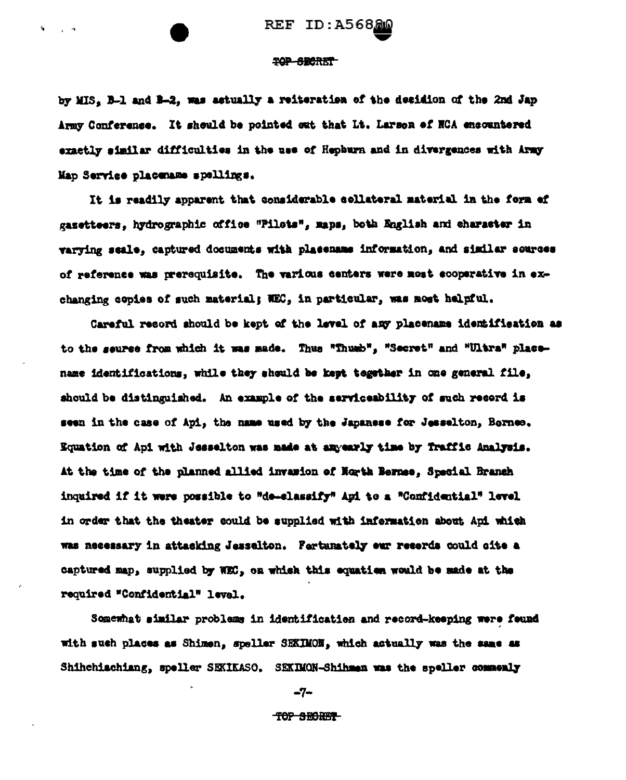#### TOP SECRET

by MIS, B-1 and B-2, was actually a reiteration of the decidion of the 2nd Jap Army Conference. It should be pointed out that Lt. Larson of NCA encountered exactly similar difficulties in the use of Hephurn and in divergences with Army Map Service placemane spellings.

It is readily apparent that considerable collateral material in the form of gazetteers, hydrographic office "Pilots", maps, both English and character in varying scale, captured documents with placemans information, and similar sources of reference was prerequisite. The various centers were most ecoperative in exchanging copies of such material; NEC, in particular, was nost helpful.

Careful record should be kept of the level of any placename identification as to the seuree from which it was made. Thus "Thush", "Secret" and "Ultra" placename identifications, while they should be kept together in one general file, should be distinguished. An example of the serviceability of such record is seen in the case of Api, the name used by the Japanese for Jesselton, Borneo. Equation of Api with Jesselton was made at any early time by Traffic Amalysis. At the time of the planned allied invasion of North Bernse, Special Branch inquired if it were possible to "de-elassify" Api to a "Confidential" level in order that the theater could be supplied with information about Api which was necessary in attacking Jesselton. Fartunately our records could oite a captured map, supplied by WEC, on which this equation would be made at the required "Confidential" level.

Somewhat similar problems in identification and record-keeping were found with such places as Shimen, speller SEKIMON, which actually was the same as Shihchiachiang, speller SEXIKASO. SEXIMON-Shihman was the speller commonly

-7-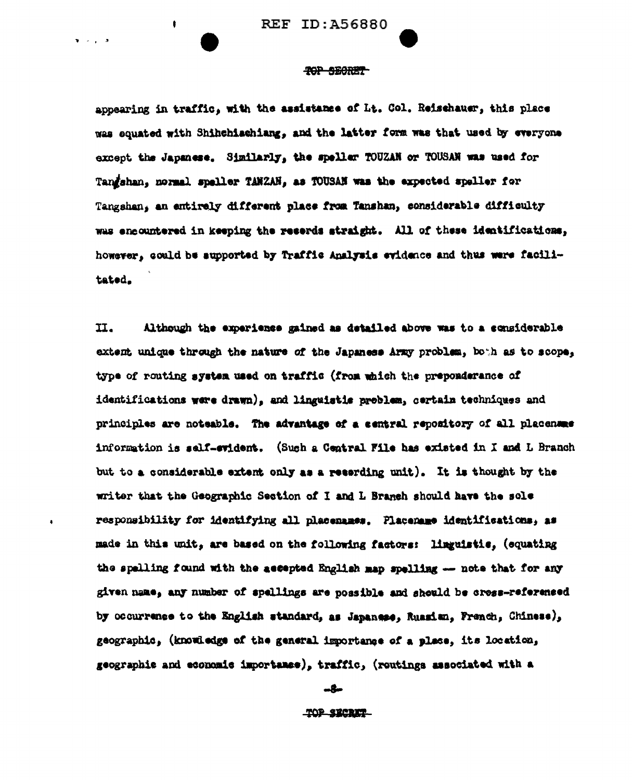ŧ

 $\mathbf{v} = \mathbf{v}$  ,  $\mathbf{v} = \mathbf{v}$ 

### TOP SECRET

appearing in traffic, with the assistance of Lt. Col. Reischauer, this place was equated with Shihchiachiang, and the latter form was that used by everyone except the Japanese. Similarly, the speller TOUZAN or TOUSAN was used for Tangshan, normal speller TANZAN, as TOUSAN was the expected speller for Tangshan, an entirely different place from Tanshan, considerable difficulty was encountered in keeping the reserds straight. All of these identifications, however, could be aupported by Traffic Analysis evidence and thus were facilitated.

 $II.$ Although the experience gained as detailed above was to a considerable extent unique through the nature of the Japaness Army problem, both as to scope, type of routing system used on traffic (from which the preponderance of identifications were drawn), and linguistic problem, certain techniques and principles are noteable. The advantage of a central repository of all placenaes information is self-evident. (Such a Central File has existed in I and L Branch but to a considerable extent only as a recording unit). It is thought by the writer that the Geographic Section of I and L Branch should have the sole responsibility for identifying all placemanes. Placemane identifications, as made in this unit, are based on the following factors: linguistie, (equating the spelling found with the ascepted English map spelling -- note that for any given name, any number of spellings are possible and should be cross-referenced by occurrence to the English standard, as Japanese, Ruasian, French, Chinese), geographic, (knowledge of the general importance of a place, its location, geographic and economic importance), traffic, (routings associated with a

-8-